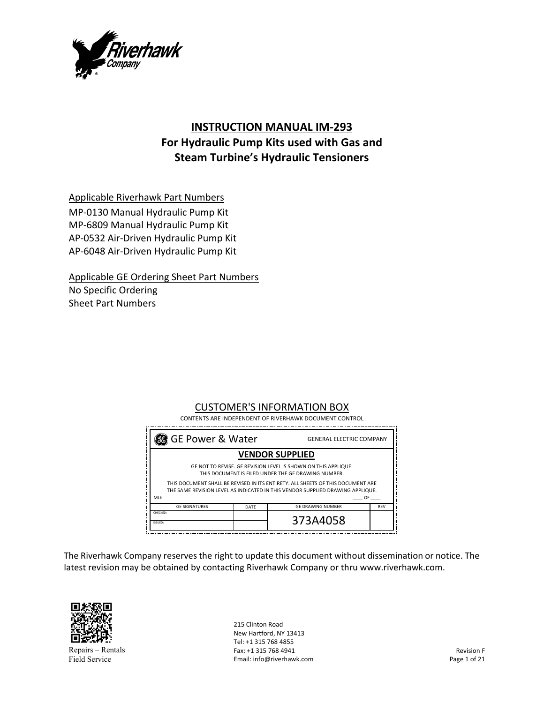

# **INSTRUCTION MANUAL IM‐293 For Hydraulic Pump Kits used with Gas and Steam Turbine's Hydraulic Tensioners**

Applicable Riverhawk Part Numbers

MP‐0130 Manual Hydraulic Pump Kit MP‐6809 Manual Hydraulic Pump Kit AP‐0532 Air‐Driven Hydraulic Pump Kit AP‐6048 Air‐Driven Hydraulic Pump Kit

Applicable GE Ordering Sheet Part Numbers No Specific Ordering Sheet Part Numbers

#### CUSTOMER'S INFORMATION BOX CONTENTS ARE INDEPENDENT OF RIVERHAWK DOCUMENT CONTROL

\_\_\_\_\_\_\_\_\_\_\_\_\_\_\_\_\_\_\_\_\_\_\_\_\_\_\_\_\_\_\_\_\_\_\_\_\_ GE Power & Water GENERAL ELECTRIC COMPANY **VENDOR SUPPLIED** ļ GE NOT TO REVISE. GE REVISION LEVEL IS SHOWN ON THIS APPLIQUE. THIS DOCUMENT IS FILED UNDER THE GE DRAWING NUMBER. Ĵ THIS DOCUMENT SHALL BE REVISED IN ITS ENTIRETY. ALL SHEETS OF THIS DOCUMENT ARE -ĩ THE SAME REVISION LEVEL AS INDICATED IN THIS VENDOR SUPPLIED DRAWING APPLIQUE. j MLI: \_\_\_\_ OF \_\_\_\_ **GE SIGNATURES** DATE GE DRAWING NUMBER REV CHECKED: 373A4058 ISSUED:

The Riverhawk Company reserves the right to update this document without dissemination or notice. The latest revision may be obtained by contacting Riverhawk Company or thru www.riverhawk.com.



Repairs – Rentals Field Service

215 Clinton Road New Hartford, NY 13413 Tel: +1 315 768 4855 Fax: +1 315 768 4941 Email: info@riverhawk.com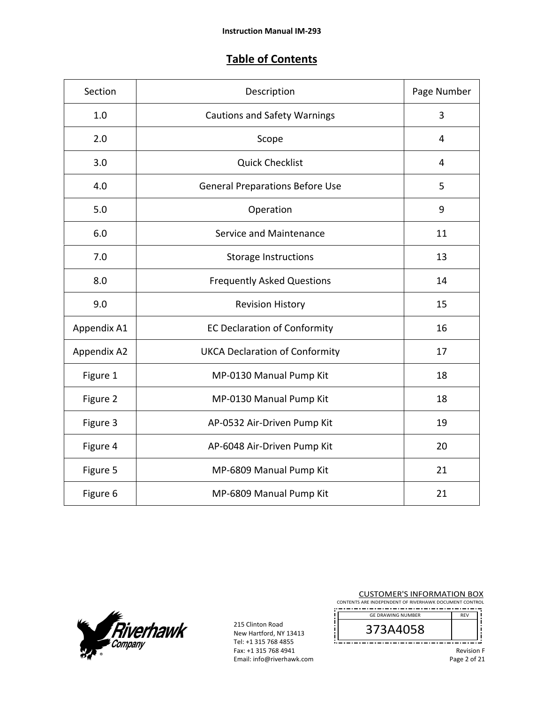## **Table of Contents**

| Section     | Description                            | Page Number |
|-------------|----------------------------------------|-------------|
| 1.0         | <b>Cautions and Safety Warnings</b>    | 3           |
| 2.0         | Scope                                  | 4           |
| 3.0         | <b>Quick Checklist</b>                 | 4           |
| 4.0         | <b>General Preparations Before Use</b> | 5           |
| 5.0         | Operation                              | 9           |
| 6.0         | Service and Maintenance                | 11          |
| 7.0         | Storage Instructions                   | 13          |
| 8.0         | <b>Frequently Asked Questions</b>      | 14          |
| 9.0         | <b>Revision History</b>                | 15          |
| Appendix A1 | <b>EC Declaration of Conformity</b>    | 16          |
| Appendix A2 | <b>UKCA Declaration of Conformity</b>  | 17          |
| Figure 1    | MP-0130 Manual Pump Kit                | 18          |
| Figure 2    | MP-0130 Manual Pump Kit                | 18          |
| Figure 3    | AP-0532 Air-Driven Pump Kit            | 19          |
| Figure 4    | AP-6048 Air-Driven Pump Kit            | 20          |
| Figure 5    | MP-6809 Manual Pump Kit                | 21          |
| Figure 6    | MP-6809 Manual Pump Kit                | 21          |



215 Clinton Road New Hartford, NY 13413 Tel: +1 315 768 4855 Fax: +1 315 768 4941 Email: info@riverhawk.com j

| <b>CUSTOMER'S INFORMATION BOX</b>                      |  |  |
|--------------------------------------------------------|--|--|
| CONTENTS ARE INDEPENDENT OF RIVERHAWK DOCUMENT CONTROL |  |  |

--------------------------------------

| <b>GE DRAWING NUMBER</b> |  |
|--------------------------|--|
|                          |  |
|                          |  |

Revision F Page 2 of 21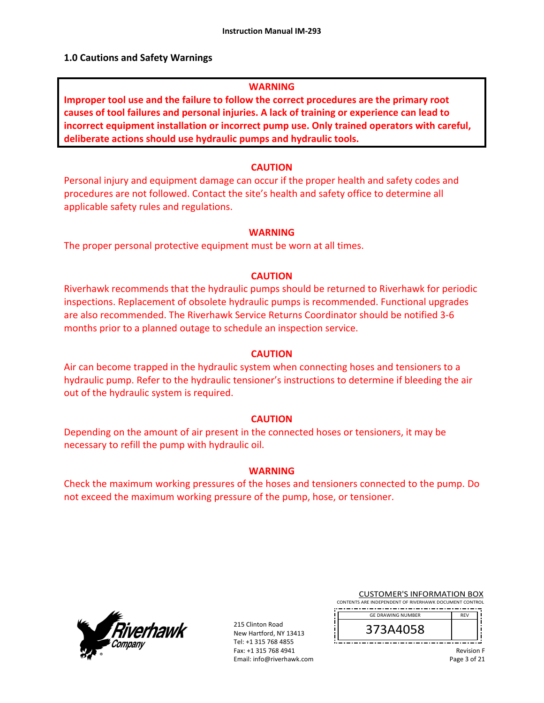### **1.0 Cautions and Safety Warnings**

#### **WARNING**

**Improper tool use and the failure to follow the correct procedures are the primary root causes of tool failures and personal injuries. A lack of training or experience can lead to incorrect equipment installation or incorrect pump use. Only trained operators with careful, deliberate actions should use hydraulic pumps and hydraulic tools.** 

#### **CAUTION**

Personal injury and equipment damage can occur if the proper health and safety codes and procedures are not followed. Contact the site's health and safety office to determine all applicable safety rules and regulations.

#### **WARNING**

The proper personal protective equipment must be worn at all times.

#### **CAUTION**

Riverhawk recommends that the hydraulic pumps should be returned to Riverhawk for periodic inspections. Replacement of obsolete hydraulic pumps is recommended. Functional upgrades are also recommended. The Riverhawk Service Returns Coordinator should be notified 3‐6 months prior to a planned outage to schedule an inspection service.

#### **CAUTION**

Air can become trapped in the hydraulic system when connecting hoses and tensioners to a hydraulic pump. Refer to the hydraulic tensioner's instructions to determine if bleeding the air out of the hydraulic system is required.

#### **CAUTION**

Depending on the amount of air present in the connected hoses or tensioners, it may be necessary to refill the pump with hydraulic oil.

#### **WARNING**

Check the maximum working pressures of the hoses and tensioners connected to the pump. Do not exceed the maximum working pressure of the pump, hose, or tensioner.



215 Clinton Road New Hartford, NY 13413 Tel: +1 315 768 4855 Fax: +1 315 768 4941 Email: info@riverhawk.com

| <b>CUSTOMER'S INFORMATION BOX</b>                      |  |  |
|--------------------------------------------------------|--|--|
| CONTENTS ARE INDEPENDENT OF RIVERHAWK DOCUMENT CONTROL |  |  |

--------------------------------------

| <b>GE DRAWING NUMBER</b> | <b>RFV</b> |
|--------------------------|------------|
| 373A4058                 |            |
|                          |            |

Revision F Page 3 of 21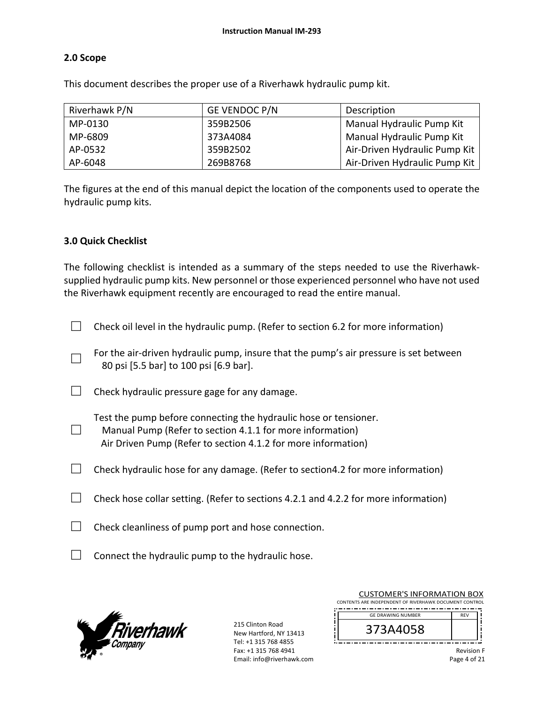### **2.0 Scope**

This document describes the proper use of a Riverhawk hydraulic pump kit.

| Riverhawk P/N | <b>GE VENDOC P/N</b> | Description                   |
|---------------|----------------------|-------------------------------|
| MP-0130       | 359B2506             | Manual Hydraulic Pump Kit     |
| MP-6809       | 373A4084             | Manual Hydraulic Pump Kit     |
| AP-0532       | 359B2502             | Air-Driven Hydraulic Pump Kit |
| AP-6048       | 269B8768             | Air-Driven Hydraulic Pump Kit |

The figures at the end of this manual depict the location of the components used to operate the hydraulic pump kits.

### **3.0 Quick Checklist**

□

The following checklist is intended as a summary of the steps needed to use the Riverhawksupplied hydraulic pump kits. New personnel or those experienced personnel who have not used the Riverhawk equipment recently are encouraged to read the entire manual.

- $\Box$  Check oil level in the hydraulic pump. (Refer to section 6.2 for more information)
- □ For the air-driven hydraulic pump, insure that the pump's air pressure is set between 80 psi [5.5 bar] to 100 psi [6.9 bar].
- $\Box$  Check hydraulic pressure gage for any damage.

Test the pump before connecting the hydraulic hose or tensioner.

- Manual Pump (Refer to section 4.1.1 for more information) Air Driven Pump (Refer to section 4.1.2 for more information)
- $\Box$  Check hydraulic hose for any damage. (Refer to section 4.2 for more information)
- $\Box$  Check hose collar setting. (Refer to sections 4.2.1 and 4.2.2 for more information)
- $\Box$  Check cleanliness of pump port and hose connection.
- $\Box$  Connect the hydraulic pump to the hydraulic hose.



215 Clinton Road New Hartford, NY 13413 Tel: +1 315 768 4855 Fax: +1 315 768 4941 Email: info@riverhawk.com

| <b>CUSTOMER'S INFORMATION BOX</b>                      |            |
|--------------------------------------------------------|------------|
| CONTENTS ARE INDEPENDENT OF RIVERHAWK DOCUMENT CONTROL |            |
| <b>GE DRAWING NUMBER</b>                               | <b>RFV</b> |
| 373A4058                                               |            |
|                                                        |            |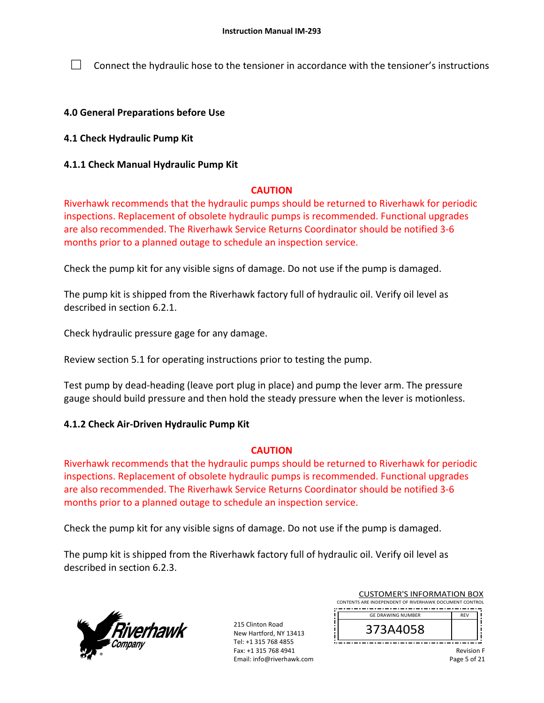$\Box$  Connect the hydraulic hose to the tensioner in accordance with the tensioner's instructions

### **4.0 General Preparations before Use**

### **4.1 Check Hydraulic Pump Kit**

### **4.1.1 Check Manual Hydraulic Pump Kit**

### **CAUTION**

Riverhawk recommends that the hydraulic pumps should be returned to Riverhawk for periodic inspections. Replacement of obsolete hydraulic pumps is recommended. Functional upgrades are also recommended. The Riverhawk Service Returns Coordinator should be notified 3‐6 months prior to a planned outage to schedule an inspection service.

Check the pump kit for any visible signs of damage. Do not use if the pump is damaged.

The pump kit is shipped from the Riverhawk factory full of hydraulic oil. Verify oil level as described in section 6.2.1.

Check hydraulic pressure gage for any damage.

Review section 5.1 for operating instructions prior to testing the pump.

Test pump by dead‐heading (leave port plug in place) and pump the lever arm. The pressure gauge should build pressure and then hold the steady pressure when the lever is motionless.

## **4.1.2 Check Air‐Driven Hydraulic Pump Kit**

### **CAUTION**

Riverhawk recommends that the hydraulic pumps should be returned to Riverhawk for periodic inspections. Replacement of obsolete hydraulic pumps is recommended. Functional upgrades are also recommended. The Riverhawk Service Returns Coordinator should be notified 3‐6 months prior to a planned outage to schedule an inspection service.

Check the pump kit for any visible signs of damage. Do not use if the pump is damaged.

The pump kit is shipped from the Riverhawk factory full of hydraulic oil. Verify oil level as described in section 6.2.3.



215 Clinton Road New Hartford, NY 13413 Tel: +1 315 768 4855 Fax: +1 315 768 4941 Email: info@riverhawk.com

| 373A4058                                               |            |  |
|--------------------------------------------------------|------------|--|
| <b>GE DRAWING NUMBER</b>                               | <b>RFV</b> |  |
| CONTENTS ARE INDEPENDENT OF RIVERHAWK DOCUMENT CONTROL |            |  |
| <b>CUSTOMER'S INFORMATION BOX</b>                      |            |  |

Revision F Page 5 of 21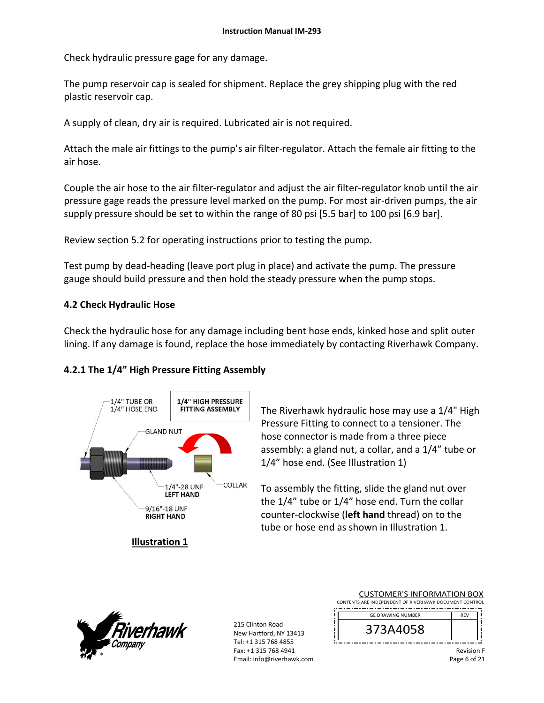Check hydraulic pressure gage for any damage.

The pump reservoir cap is sealed for shipment. Replace the grey shipping plug with the red plastic reservoir cap.

A supply of clean, dry air is required. Lubricated air is not required.

Attach the male air fittings to the pump's air filter‐regulator. Attach the female air fitting to the air hose.

Couple the air hose to the air filter‐regulator and adjust the air filter‐regulator knob until the air pressure gage reads the pressure level marked on the pump. For most air‐driven pumps, the air supply pressure should be set to within the range of 80 psi [5.5 bar] to 100 psi [6.9 bar].

Review section 5.2 for operating instructions prior to testing the pump.

Test pump by dead‐heading (leave port plug in place) and activate the pump. The pressure gauge should build pressure and then hold the steady pressure when the pump stops.

### **4.2 Check Hydraulic Hose**

Check the hydraulic hose for any damage including bent hose ends, kinked hose and split outer lining. If any damage is found, replace the hose immediately by contacting Riverhawk Company.

## **4.2.1 The 1/4" High Pressure Fitting Assembly**



**Illustration 1** 

The Riverhawk hydraulic hose may use a 1/4" High Pressure Fitting to connect to a tensioner. The hose connector is made from a three piece assembly: a gland nut, a collar, and a 1/4" tube or 1/4" hose end. (See Illustration 1)

To assembly the fitting, slide the gland nut over the 1/4" tube or 1/4" hose end. Turn the collar counter‐clockwise (**left hand** thread) on to the tube or hose end as shown in Illustration 1.



215 Clinton Road New Hartford, NY 13413 Tel: +1 315 768 4855 Fax: +1 315 768 4941 Email: info@riverhawk.com

| <b>CUSTOMER'S INFORMATION BOX</b>                      |            |
|--------------------------------------------------------|------------|
| CONTENTS ARE INDEPENDENT OF RIVERHAWK DOCUMENT CONTROL |            |
| <b>GE DRAWING NUMBER</b>                               | <b>RFV</b> |
| 373A4058                                               |            |
|                                                        |            |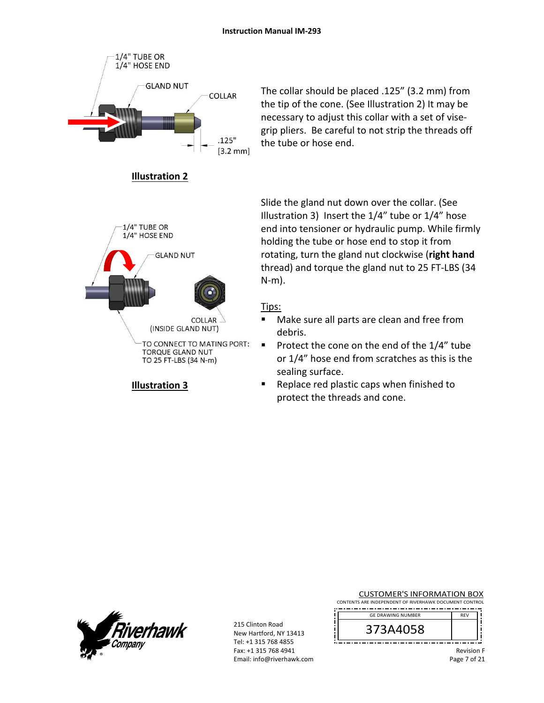

TO CONNECT TO MATING PORT: TORQUE GLAND NUT TO 25 FT-LBS (34 N-m)

## **Illustration 3**

The collar should be placed .125" (3.2 mm) from the tip of the cone. (See Illustration 2) It may be necessary to adjust this collar with a set of vise‐ grip pliers. Be careful to not strip the threads off the tube or hose end.

Slide the gland nut down over the collar. (See Illustration 3) Insert the 1/4" tube or 1/4" hose end into tensioner or hydraulic pump. While firmly holding the tube or hose end to stop it from rotating, turn the gland nut clockwise (**right hand** thread) and torque the gland nut to 25 FT‐LBS (34 N‐m).

## Tips:

- Make sure all parts are clean and free from debris.
- Protect the cone on the end of the  $1/4$ " tube or 1/4" hose end from scratches as this is the sealing surface.
- Replace red plastic caps when finished to protect the threads and cone.



215 Clinton Road New Hartford, NY 13413 Tel: +1 315 768 4855 Fax: +1 315 768 4941 Email: info@riverhawk.com

| <b>CUSTOMER'S INFORMATION BOX</b>                      |  |  |
|--------------------------------------------------------|--|--|
| CONTENTS ARE INDEPENDENT OF RIVERHAWK DOCUMENT CONTROL |  |  |

| <b>GE DRAWING NUMBER</b> |  |
|--------------------------|--|
| رح<br>4030<br>، د        |  |
|                          |  |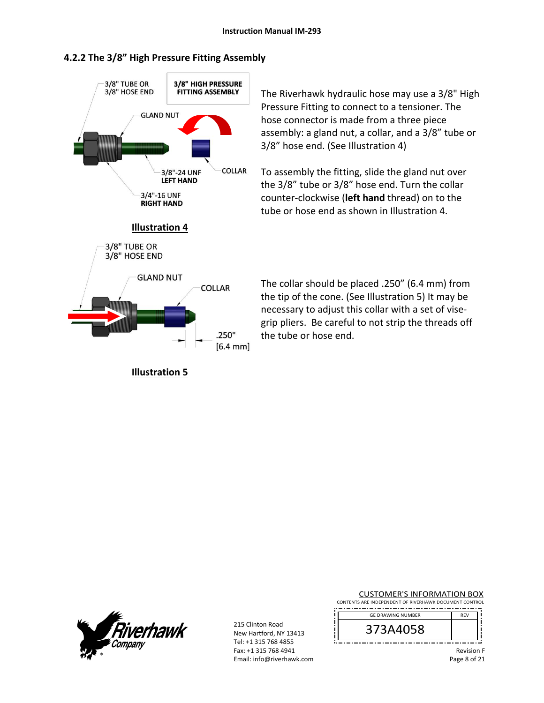### **4.2.2 The 3/8" High Pressure Fitting Assembly**



**Illustration 5** 

The Riverhawk hydraulic hose may use a 3/8" High Pressure Fitting to connect to a tensioner. The hose connector is made from a three piece assembly: a gland nut, a collar, and a 3/8" tube or 3/8" hose end. (See Illustration 4)

To assembly the fitting, slide the gland nut over the 3/8" tube or 3/8" hose end. Turn the collar counter‐clockwise (**left hand** thread) on to the tube or hose end as shown in Illustration 4.

The collar should be placed .250" (6.4 mm) from the tip of the cone. (See Illustration 5) It may be necessary to adjust this collar with a set of vise‐ grip pliers. Be careful to not strip the threads off the tube or hose end.



215 Clinton Road New Hartford, NY 13413 Tel: +1 315 768 4855 Fax: +1 315 768 4941 Email: info@riverhawk.com

| <b>CUSTOMER'S INFORMATION BOX</b>                      |  |  |
|--------------------------------------------------------|--|--|
| CONTENTS ARE INDEPENDENT OF RIVERHAWK DOCUMENT CONTROL |  |  |

| <b>GE DRAWING NUMBER</b> | FV |
|--------------------------|----|
| 373A4058                 |    |
|                          |    |

f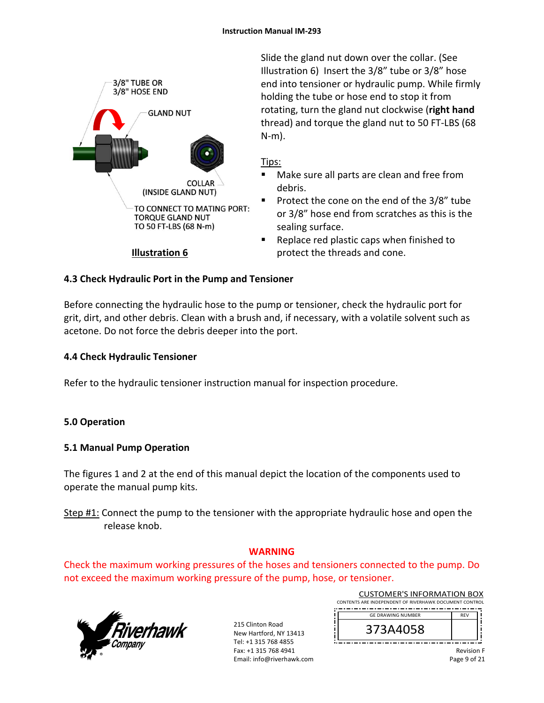

Slide the gland nut down over the collar. (See Illustration 6) Insert the 3/8" tube or 3/8" hose end into tensioner or hydraulic pump. While firmly holding the tube or hose end to stop it from rotating, turn the gland nut clockwise (**right hand** thread) and torque the gland nut to 50 FT‐LBS (68 N‐m).

### Tips:

- Make sure all parts are clean and free from debris.
- Protect the cone on the end of the 3/8" tube or 3/8" hose end from scratches as this is the sealing surface.
- Replace red plastic caps when finished to protect the threads and cone.

## **4.3 Check Hydraulic Port in the Pump and Tensioner**

Before connecting the hydraulic hose to the pump or tensioner, check the hydraulic port for grit, dirt, and other debris. Clean with a brush and, if necessary, with a volatile solvent such as acetone. Do not force the debris deeper into the port.

## **4.4 Check Hydraulic Tensioner**

Refer to the hydraulic tensioner instruction manual for inspection procedure.

## **5.0 Operation**

## **5.1 Manual Pump Operation**

The figures 1 and 2 at the end of this manual depict the location of the components used to operate the manual pump kits.

Step #1: Connect the pump to the tensioner with the appropriate hydraulic hose and open the release knob.

## **WARNING**

Check the maximum working pressures of the hoses and tensioners connected to the pump. Do not exceed the maximum working pressure of the pump, hose, or tensioner.



215 Clinton Road New Hartford, NY 13413 Tel: +1 315 768 4855 Fax: +1 315 768 4941 Email: info@riverhawk.com

| CONTENTS ARE INDEPENDENT OF RIVERHAWK DOCUMENT CONTROL |            |  |
|--------------------------------------------------------|------------|--|
| <b>GE DRAWING NUMBER</b>                               | <b>RFV</b> |  |
| 373A4058                                               |            |  |

CUSTOMER'S INFORMATION BOX

Revision F Page 9 of 21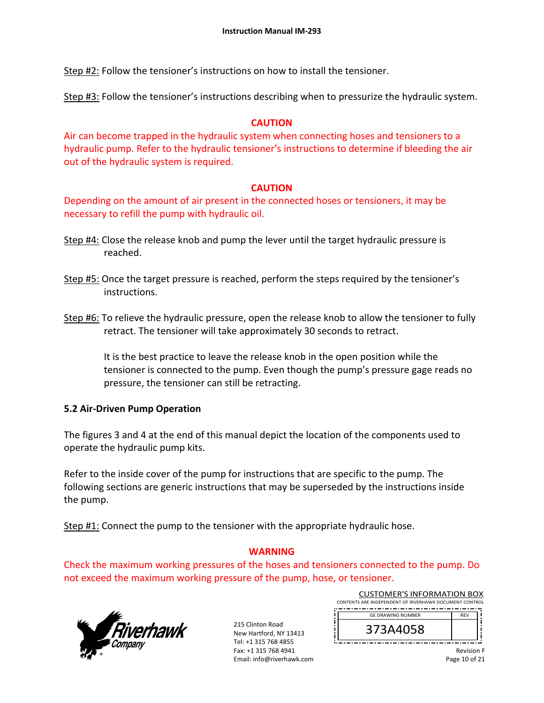Step #2: Follow the tensioner's instructions on how to install the tensioner.

Step #3: Follow the tensioner's instructions describing when to pressurize the hydraulic system.

### **CAUTION**

Air can become trapped in the hydraulic system when connecting hoses and tensioners to a hydraulic pump. Refer to the hydraulic tensioner's instructions to determine if bleeding the air out of the hydraulic system is required.

### **CAUTION**

Depending on the amount of air present in the connected hoses or tensioners, it may be necessary to refill the pump with hydraulic oil.

- Step #4: Close the release knob and pump the lever until the target hydraulic pressure is reached.
- Step #5: Once the target pressure is reached, perform the steps required by the tensioner's instructions.
- Step #6: To relieve the hydraulic pressure, open the release knob to allow the tensioner to fully retract. The tensioner will take approximately 30 seconds to retract.

It is the best practice to leave the release knob in the open position while the tensioner is connected to the pump. Even though the pump's pressure gage reads no pressure, the tensioner can still be retracting.

### **5.2 Air‐Driven Pump Operation**

The figures 3 and 4 at the end of this manual depict the location of the components used to operate the hydraulic pump kits.

Refer to the inside cover of the pump for instructions that are specific to the pump. The following sections are generic instructions that may be superseded by the instructions inside the pump.

Step #1: Connect the pump to the tensioner with the appropriate hydraulic hose.

### **WARNING**

Check the maximum working pressures of the hoses and tensioners connected to the pump. Do not exceed the maximum working pressure of the pump, hose, or tensioner.



215 Clinton Road New Hartford, NY 13413 Tel: +1 315 768 4855 Fax: +1 315 768 4941 Email: info@riverhawk.com

| <b>CUSTOMER'S INFORMATION BOX</b>                      |            |  |  |
|--------------------------------------------------------|------------|--|--|
| CONTENTS ARE INDEPENDENT OF RIVERHAWK DOCUMENT CONTROL |            |  |  |
| <b>GE DRAWING NUMBER</b>                               | <b>REV</b> |  |  |
| 373A4058                                               |            |  |  |

Revision F Page 10 of 21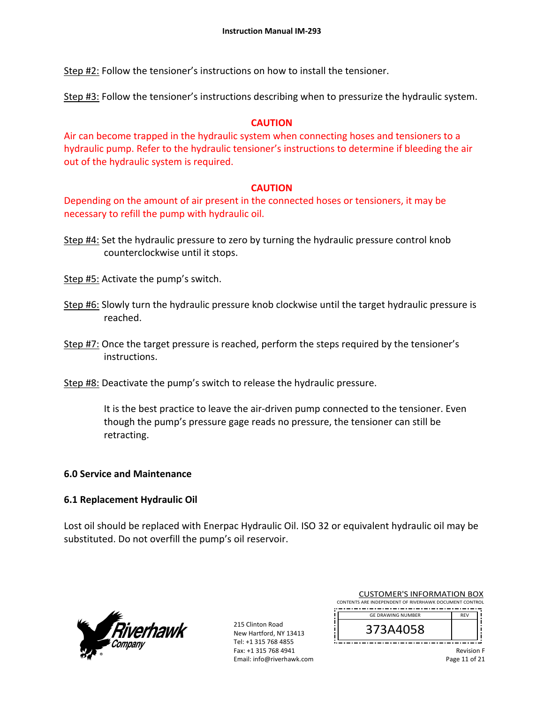Step #2: Follow the tensioner's instructions on how to install the tensioner.

Step #3: Follow the tensioner's instructions describing when to pressurize the hydraulic system.

### **CAUTION**

Air can become trapped in the hydraulic system when connecting hoses and tensioners to a hydraulic pump. Refer to the hydraulic tensioner's instructions to determine if bleeding the air out of the hydraulic system is required.

### **CAUTION**

Depending on the amount of air present in the connected hoses or tensioners, it may be necessary to refill the pump with hydraulic oil.

Step #4: Set the hydraulic pressure to zero by turning the hydraulic pressure control knob counterclockwise until it stops.

Step #5: Activate the pump's switch.

- Step #6: Slowly turn the hydraulic pressure knob clockwise until the target hydraulic pressure is reached.
- Step #7: Once the target pressure is reached, perform the steps required by the tensioner's instructions.

Step #8: Deactivate the pump's switch to release the hydraulic pressure.

It is the best practice to leave the air‐driven pump connected to the tensioner. Even though the pump's pressure gage reads no pressure, the tensioner can still be retracting.

### **6.0 Service and Maintenance**

### **6.1 Replacement Hydraulic Oil**

Lost oil should be replaced with Enerpac Hydraulic Oil. ISO 32 or equivalent hydraulic oil may be substituted. Do not overfill the pump's oil reservoir.



215 Clinton Road New Hartford, NY 13413 Tel: +1 315 768 4855 Fax: +1 315 768 4941 Email: info@riverhawk.com

| CUSTUMER S INFORMATION BUX                             |            |  |
|--------------------------------------------------------|------------|--|
| CONTENTS ARE INDEPENDENT OF RIVERHAWK DOCUMENT CONTROL |            |  |
|                                                        |            |  |
| <b>GE DRAWING NUMBER</b>                               | <b>RFV</b> |  |

 $CUTOMAEDICIMICORAATIONBON$ 

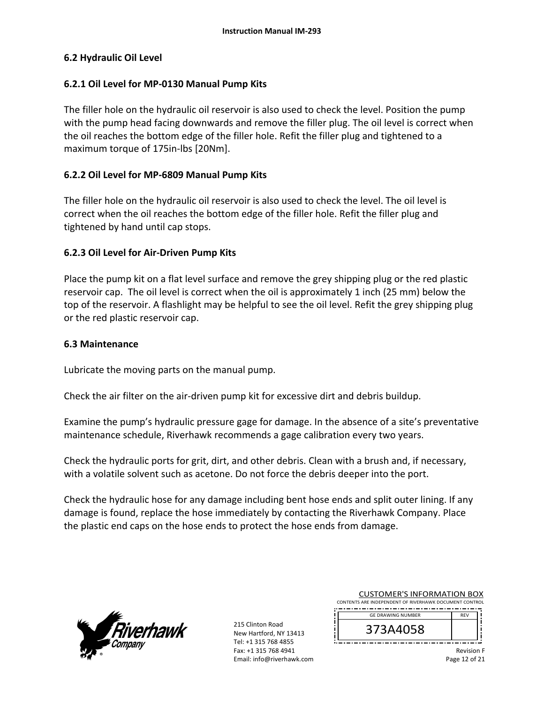#### **6.2 Hydraulic Oil Level**

#### **6.2.1 Oil Level for MP‐0130 Manual Pump Kits**

The filler hole on the hydraulic oil reservoir is also used to check the level. Position the pump with the pump head facing downwards and remove the filler plug. The oil level is correct when the oil reaches the bottom edge of the filler hole. Refit the filler plug and tightened to a maximum torque of 175in‐lbs [20Nm].

#### **6.2.2 Oil Level for MP‐6809 Manual Pump Kits**

The filler hole on the hydraulic oil reservoir is also used to check the level. The oil level is correct when the oil reaches the bottom edge of the filler hole. Refit the filler plug and tightened by hand until cap stops.

#### **6.2.3 Oil Level for Air‐Driven Pump Kits**

Place the pump kit on a flat level surface and remove the grey shipping plug or the red plastic reservoir cap. The oil level is correct when the oil is approximately 1 inch (25 mm) below the top of the reservoir. A flashlight may be helpful to see the oil level. Refit the grey shipping plug or the red plastic reservoir cap.

#### **6.3 Maintenance**

Lubricate the moving parts on the manual pump.

Check the air filter on the air‐driven pump kit for excessive dirt and debris buildup.

Examine the pump's hydraulic pressure gage for damage. In the absence of a site's preventative maintenance schedule, Riverhawk recommends a gage calibration every two years.

Check the hydraulic ports for grit, dirt, and other debris. Clean with a brush and, if necessary, with a volatile solvent such as acetone. Do not force the debris deeper into the port.

Check the hydraulic hose for any damage including bent hose ends and split outer lining. If any damage is found, replace the hose immediately by contacting the Riverhawk Company. Place the plastic end caps on the hose ends to protect the hose ends from damage.



215 Clinton Road New Hartford, NY 13413 Tel: +1 315 768 4855 Fax: +1 315 768 4941 Email: info@riverhawk.com

| CONTENTS ARE INDEPENDENT OF RIVERHAWK DOCUMENT CONTROL |            |  |  |
|--------------------------------------------------------|------------|--|--|
| <b>GE DRAWING NUMBER</b>                               | <b>RFV</b> |  |  |
| 3A405                                                  |            |  |  |

CUSTOMER'S INFORMATION BOX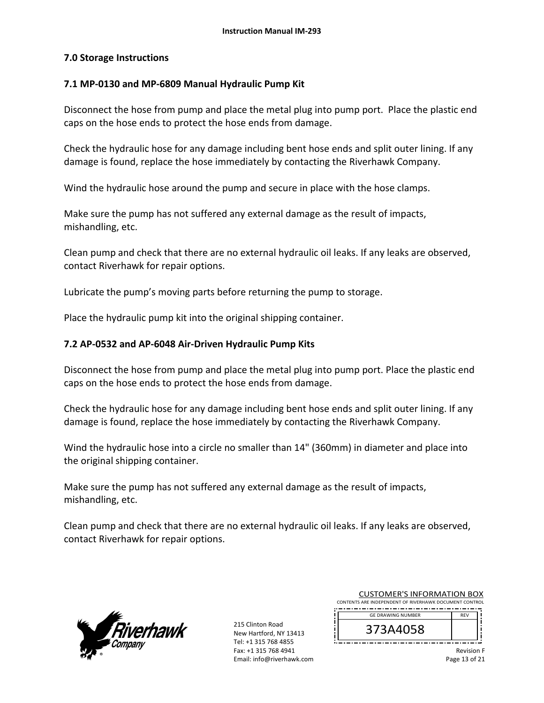### **7.0 Storage Instructions**

#### **7.1 MP‐0130 and MP‐6809 Manual Hydraulic Pump Kit**

Disconnect the hose from pump and place the metal plug into pump port. Place the plastic end caps on the hose ends to protect the hose ends from damage.

Check the hydraulic hose for any damage including bent hose ends and split outer lining. If any damage is found, replace the hose immediately by contacting the Riverhawk Company.

Wind the hydraulic hose around the pump and secure in place with the hose clamps.

Make sure the pump has not suffered any external damage as the result of impacts, mishandling, etc.

Clean pump and check that there are no external hydraulic oil leaks. If any leaks are observed, contact Riverhawk for repair options.

Lubricate the pump's moving parts before returning the pump to storage.

Place the hydraulic pump kit into the original shipping container.

#### **7.2 AP‐0532 and AP‐6048 Air‐Driven Hydraulic Pump Kits**

Disconnect the hose from pump and place the metal plug into pump port. Place the plastic end caps on the hose ends to protect the hose ends from damage.

Check the hydraulic hose for any damage including bent hose ends and split outer lining. If any damage is found, replace the hose immediately by contacting the Riverhawk Company.

Wind the hydraulic hose into a circle no smaller than 14" (360mm) in diameter and place into the original shipping container.

Make sure the pump has not suffered any external damage as the result of impacts, mishandling, etc.

Clean pump and check that there are no external hydraulic oil leaks. If any leaks are observed, contact Riverhawk for repair options.



215 Clinton Road New Hartford, NY 13413 Tel: +1 315 768 4855 Fax: +1 315 768 4941 Email: info@riverhawk.com

| <b>CUSTOMER'S INFORMATION BOX</b>                      |            |  |
|--------------------------------------------------------|------------|--|
| CONTENTS ARE INDEPENDENT OF RIVERHAWK DOCUMENT CONTROL |            |  |
| <b>GE DRAWING NUMBER</b>                               | <b>RFV</b> |  |

| <b>UL UNAWING NUMBER</b> | <u>вгч</u> |
|--------------------------|------------|
| J.<br>סכו                |            |
| --<br>--<br>--<br>- -    |            |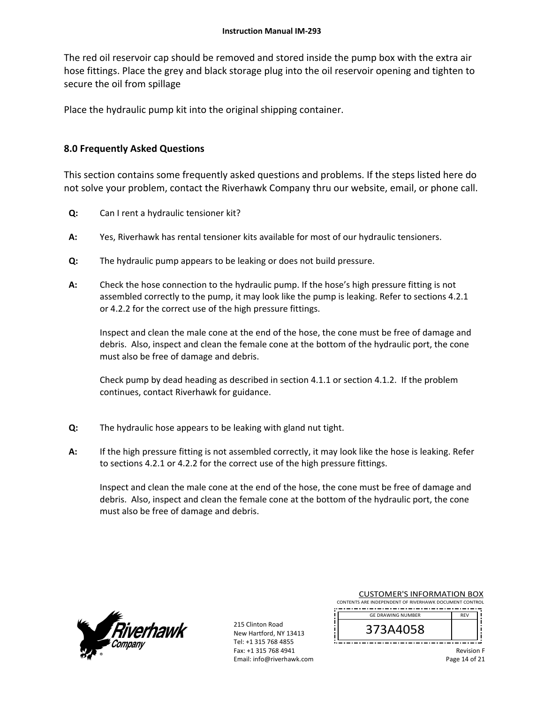The red oil reservoir cap should be removed and stored inside the pump box with the extra air hose fittings. Place the grey and black storage plug into the oil reservoir opening and tighten to secure the oil from spillage

Place the hydraulic pump kit into the original shipping container.

### **8.0 Frequently Asked Questions**

This section contains some frequently asked questions and problems. If the steps listed here do not solve your problem, contact the Riverhawk Company thru our website, email, or phone call.

- **Q:**  Can I rent a hydraulic tensioner kit?
- **A:**  Yes, Riverhawk has rental tensioner kits available for most of our hydraulic tensioners.
- **Q:**  The hydraulic pump appears to be leaking or does not build pressure.
- **A:**  Check the hose connection to the hydraulic pump. If the hose's high pressure fitting is not assembled correctly to the pump, it may look like the pump is leaking. Refer to sections 4.2.1 or 4.2.2 for the correct use of the high pressure fittings.

Inspect and clean the male cone at the end of the hose, the cone must be free of damage and debris. Also, inspect and clean the female cone at the bottom of the hydraulic port, the cone must also be free of damage and debris.

Check pump by dead heading as described in section 4.1.1 or section 4.1.2. If the problem continues, contact Riverhawk for guidance.

- **Q:**  The hydraulic hose appears to be leaking with gland nut tight.
- **A:**  If the high pressure fitting is not assembled correctly, it may look like the hose is leaking. Refer to sections 4.2.1 or 4.2.2 for the correct use of the high pressure fittings.

Inspect and clean the male cone at the end of the hose, the cone must be free of damage and debris. Also, inspect and clean the female cone at the bottom of the hydraulic port, the cone must also be free of damage and debris.



215 Clinton Road New Hartford, NY 13413 Tel: +1 315 768 4855 Fax: +1 315 768 4941 Email: info@riverhawk.com

| CONTENTS ARE INDEPENDENT OF RIVERHAWK DOCUMENT CONTROL |            |
|--------------------------------------------------------|------------|
| <b>GE DRAWING NUMBER</b>                               | <b>RFV</b> |
| 3734405                                                |            |

CUSTOMER'S INFORMATION BOX

Revision F Page 14 of 21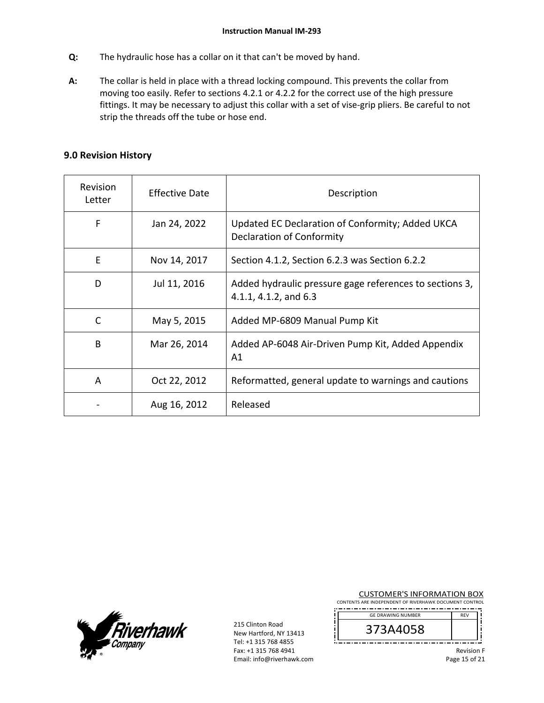- **Q:**  The hydraulic hose has a collar on it that can't be moved by hand.
- **A:**  The collar is held in place with a thread locking compound. This prevents the collar from moving too easily. Refer to sections 4.2.1 or 4.2.2 for the correct use of the high pressure fittings. It may be necessary to adjust this collar with a set of vise-grip pliers. Be careful to not strip the threads off the tube or hose end.

#### **9.0 Revision History**

| <b>Revision</b><br>Letter | <b>Effective Date</b> | Description                                                                      |
|---------------------------|-----------------------|----------------------------------------------------------------------------------|
| F                         | Jan 24, 2022          | Updated EC Declaration of Conformity; Added UKCA<br>Declaration of Conformity    |
| E                         | Nov 14, 2017          | Section 4.1.2, Section 6.2.3 was Section 6.2.2                                   |
| D                         | Jul 11, 2016          | Added hydraulic pressure gage references to sections 3,<br>4.1.1, 4.1.2, and 6.3 |
| C                         | May 5, 2015           | Added MP-6809 Manual Pump Kit                                                    |
| B                         | Mar 26, 2014          | Added AP-6048 Air-Driven Pump Kit, Added Appendix<br>A1                          |
| A                         | Oct 22, 2012          | Reformatted, general update to warnings and cautions                             |
|                           | Aug 16, 2012          | Released                                                                         |



215 Clinton Road New Hartford, NY 13413 Tel: +1 315 768 4855 Fax: +1 315 768 4941 Email: info@riverhawk.com CUSTOMER'S INFORMATION BOX

CONTENTS ARE INDEPENDENT OF RIVERHAWK DOCUMENT CONTROL 

| <b>GE DRAWING NUMBER</b> |  |
|--------------------------|--|
| ., –<br>373A4058         |  |
|                          |  |

Revision F Page 15 of 21

۱i f. ۱i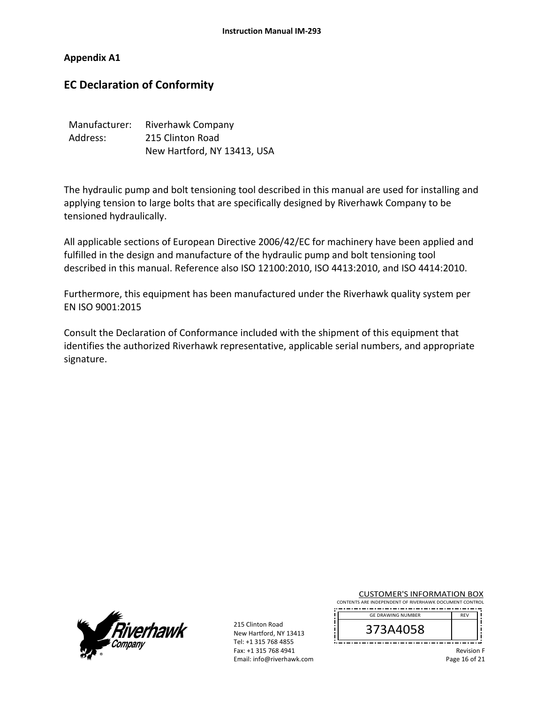#### **Appendix A1**

## **EC Declaration of Conformity**

| Manufacturer: | Riverhawk Company           |
|---------------|-----------------------------|
| Address:      | 215 Clinton Road            |
|               | New Hartford, NY 13413, USA |

The hydraulic pump and bolt tensioning tool described in this manual are used for installing and applying tension to large bolts that are specifically designed by Riverhawk Company to be tensioned hydraulically.

All applicable sections of European Directive 2006/42/EC for machinery have been applied and fulfilled in the design and manufacture of the hydraulic pump and bolt tensioning tool described in this manual. Reference also ISO 12100:2010, ISO 4413:2010, and ISO 4414:2010.

Furthermore, this equipment has been manufactured under the Riverhawk quality system per EN ISO 9001:2015

Consult the Declaration of Conformance included with the shipment of this equipment that identifies the authorized Riverhawk representative, applicable serial numbers, and appropriate signature.



215 Clinton Road New Hartford, NY 13413 Tel: +1 315 768 4855 Fax: +1 315 768 4941 Email: info@riverhawk.com CUSTOMER'S INFORMATION BOX

CONTENTS ARE INDEPENDENT OF RIVERHAWK DOCUMENT CONTROL 

| <b>GE DRAWING NUMBER</b> | <b>REV</b> |
|--------------------------|------------|
| 373A4058                 |            |
|                          |            |

Revision F Page 16 of 21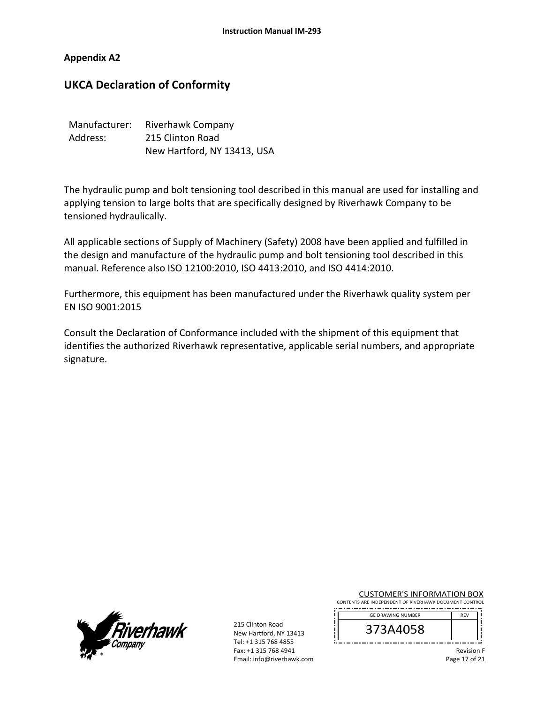#### **Appendix A2**

## **UKCA Declaration of Conformity**

| Manufacturer: | Riverhawk Company           |
|---------------|-----------------------------|
| Address:      | 215 Clinton Road            |
|               | New Hartford, NY 13413, USA |

The hydraulic pump and bolt tensioning tool described in this manual are used for installing and applying tension to large bolts that are specifically designed by Riverhawk Company to be tensioned hydraulically.

All applicable sections of Supply of Machinery (Safety) 2008 have been applied and fulfilled in the design and manufacture of the hydraulic pump and bolt tensioning tool described in this manual. Reference also ISO 12100:2010, ISO 4413:2010, and ISO 4414:2010.

Furthermore, this equipment has been manufactured under the Riverhawk quality system per EN ISO 9001:2015

Consult the Declaration of Conformance included with the shipment of this equipment that identifies the authorized Riverhawk representative, applicable serial numbers, and appropriate signature.



215 Clinton Road New Hartford, NY 13413 Tel: +1 315 768 4855 Fax: +1 315 768 4941 Email: info@riverhawk.com CUSTOMER'S INFORMATION BOX

CONTENTS ARE INDEPENDENT OF RIVERHAWK DOCUMENT CONTROL 

| <b>GE DRAWING NUMBER</b> |  |
|--------------------------|--|
| 73A4058                  |  |
|                          |  |

Revision F Page 17 of 21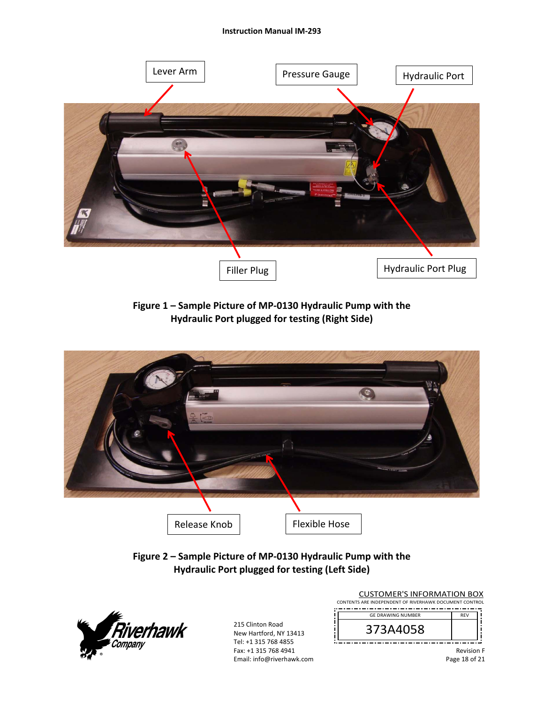

**Figure 1 – Sample Picture of MP‐0130 Hydraulic Pump with the Hydraulic Port plugged for testing (Right Side)** 



**Figure 2 – Sample Picture of MP‐0130 Hydraulic Pump with the Hydraulic Port plugged for testing (Left Side)**



215 Clinton Road New Hartford, NY 13413 Tel: +1 315 768 4855 Fax: +1 315 768 4941 Email: info@riverhawk.com

| <b>GE DRAWING NUMBER</b> | <b>RFV</b> |  |
|--------------------------|------------|--|
|                          |            |  |

Revision F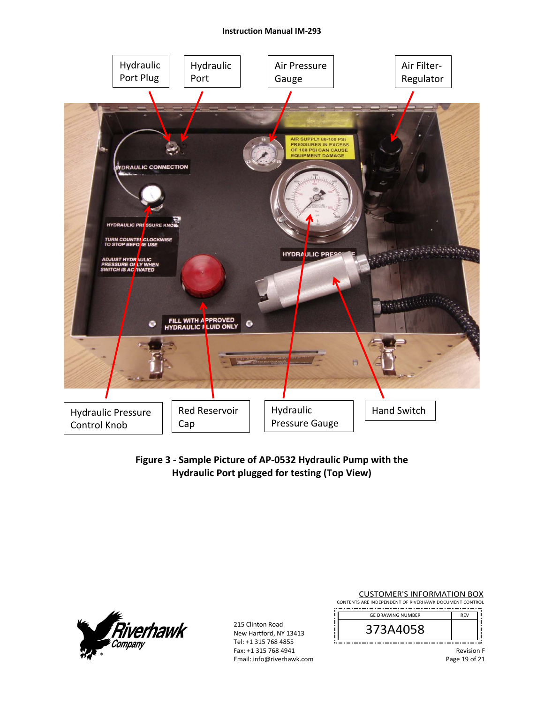

**Figure 3 ‐ Sample Picture of AP‐0532 Hydraulic Pump with the Hydraulic Port plugged for testing (Top View)** 



215 Clinton Road New Hartford, NY 13413 Tel: +1 315 768 4855 Fax: +1 315 768 4941 Email: info@riverhawk.com

<u>iL</u>

| <b>CUSTOMER'S INFORMATION BOX</b>                      |  |  |
|--------------------------------------------------------|--|--|
| CONTENTS ARE INDEPENDENT OF RIVERHAWK DOCUMENT CONTROL |  |  |

| <b>GE DRAWING NUMBER</b> | <b>RFV</b> |
|--------------------------|------------|
| ⊃<br><b>DCUPAC</b>       |            |
|                          |            |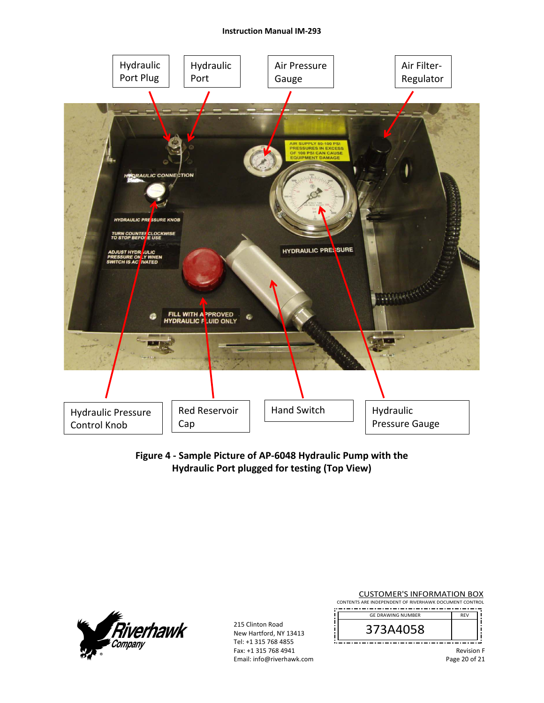

**Figure 4 ‐ Sample Picture of AP‐6048 Hydraulic Pump with the Hydraulic Port plugged for testing (Top View)** 



215 Clinton Road New Hartford, NY 13413 Tel: +1 315 768 4855 Fax: +1 315 768 4941 Email: info@riverhawk.com

Ĭ.

| <b>CUSTOMER'S INFORMATION BOX</b>                      |  |  |
|--------------------------------------------------------|--|--|
| CONTENTS ARE INDEPENDENT OF RIVERHAWK DOCUMENT CONTROL |  |  |

| <b>GE DRAWING NUMBER</b> | <b>RFV</b> |
|--------------------------|------------|
| ⊃<br>9099                |            |
|                          |            |